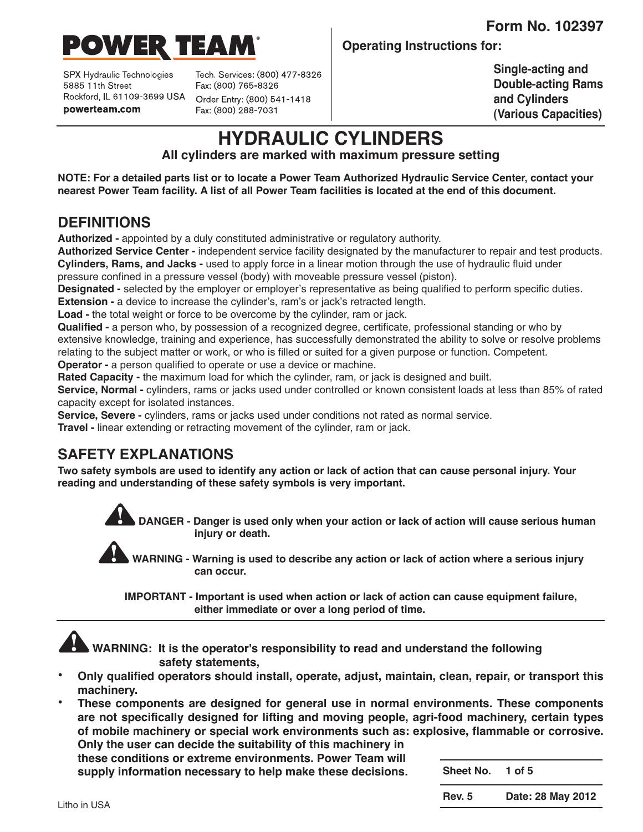**Form No. 102397**



SPX Hydraulic Technologies 5885 11th Street Rockford, IL 61109-3699 USA powerteam.com

Tech. Services: (800) 477-8326 Fax: (800) 765-8326 Order Entry: (800) 541-1418 Fax: (800) 288-7031

**Operating Instructions for:**

**Single-acting and Double-acting Rams and Cylinders (Various Capacities)**

# **HYDRAULIC CYLINDERS**

**All cylinders are marked with maximum pressure setting**

NOTE: For a detailed parts list or to locate a Power Team Authorized Hydraulic Service Center, contact your nearest Power Team facility. A list of all Power Team facilities is located at the end of this document.

# **DEFINITIONS**

**Authorized -** appointed by a duly constituted administrative or regulatory authority.

**Authorized Service Center -** independent service facility designated by the manufacturer to repair and test products. **Cylinders, Rams, and Jacks -** used to apply force in a linear motion through the use of hydraulic fluid under pressure confined in a pressure vessel (body) with moveable pressure vessel (piston).

**Designated -** selected by the employer or employer's representative as being qualified to perform specific duties. **Extension -** a device to increase the cylinder's, ram's or jack's retracted length.

**Load -** the total weight or force to be overcome by the cylinder, ram or jack.

**Qualified -** a person who, by possession of a recognized degree, certificate, professional standing or who by extensive knowledge, training and experience, has successfully demonstrated the ability to solve or resolve problems relating to the subject matter or work, or who is filled or suited for a given purpose or function. Competent. **Operator -** a person qualified to operate or use a device or machine.

**Rated Capacity -** the maximum load for which the cylinder, ram, or jack is designed and built.

**Service, Normal -** cylinders, rams or jacks used under controlled or known consistent loads at less than 85% of rated capacity except for isolated instances.

**Service, Severe -** cylinders, rams or jacks used under conditions not rated as normal service.

**Travel -** linear extending or retracting movement of the cylinder, ram or jack.

# **SAFETY EXPLANATIONS**

Two safety symbols are used to identify any action or lack of action that can cause personal injury. Your **reading and understanding of these safety symbols is very important.**

> **DANGER - Danger is used only when your action or lack of action will cause serious human injury or death.**

**WARNING - Warning is used to describe any action or lack of action where a serious injury can occur.**

**IMPORTANT - Important is used when action or lack of action can cause equipment failure, either immediate or over a long period of time.**



- **• Only qualified operators should install, operate, adjust, maintain, clean, repair, or transport this machinery.**
- **• These components are designed for general use in normal environments. These components are not specifically designed for lifting and moving people, agri-food machinery, certain types of mobile machinery or special work environments such as: explosive, flammable or corrosive. Only the user can decide the suitability of this machinery in**

**these conditions or extreme environments. Power Team will supply information necessary to help make these decisions.**

**Sheet No. 1 of 5**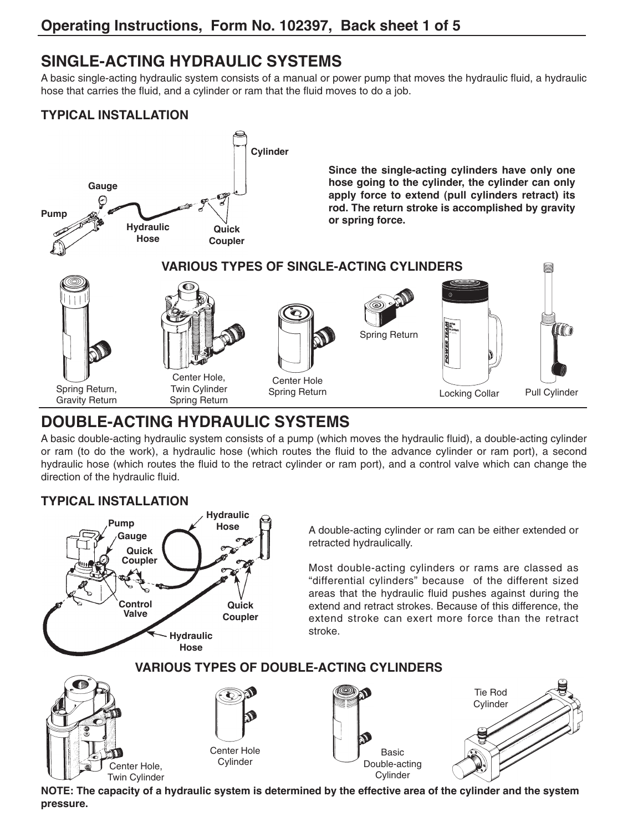# **SINGLE-ACTING HYDRAULIC SYSTEMS**

A basic single-acting hydraulic system consists of a manual or power pump that moves the hydraulic fluid, a hydraulic hose that carries the fluid, and a cylinder or ram that the fluid moves to do a job.

### **TYPICAL INSTALLATION**



# **DOUBLE-ACTING HYDRAULIC SYSTEMS**

A basic double-acting hydraulic system consists of a pump (which moves the hydraulic fluid), a double-acting cylinder or ram (to do the work), a hydraulic hose (which routes the fluid to the advance cylinder or ram port), a second hydraulic hose (which routes the fluid to the retract cylinder or ram port), and a control valve which can change the direction of the hydraulic fluid.

### **TYPICAL INSTALLATION**



NOTE: The capacity of a hydraulic system is determined by the effective area of the cylinder and the system **pressure.**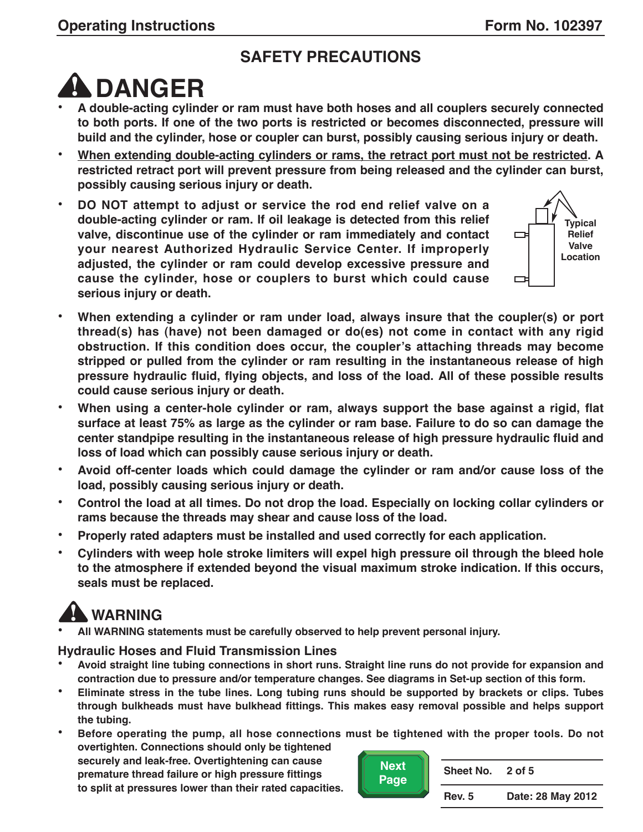# **SAFETY PRECAUTIONS**



- **DANGER • <sup>A</sup> double-acting cylinder or ram must have both hoses and all couplers securely connected to both ports. If one of the two ports is restricted or becomes disconnected, pressure will build and the cylinder, hose or coupler can burst, possibly causing serious injury or death.**
- **• When extending double-acting cylinders or rams, the retract port must not be restricted. A restricted retract port will prevent pressure from being released and the cylinder can burst, possibly causing serious injury or death.**
- **• DO NOT attempt to adjust or service the rod end relief valve on a double-acting cylinder or ram. If oil leakage is detected from this relief valve, discontinue use of the cylinder or ram immediately and contact your nearest Authorized Hydraulic Service Center. If improperly adjusted, the cylinder or ram could develop excessive pressure and cause the cylinder, hose or couplers to burst which could cause serious injury or death.**



- **• When extending a cylinder or ram under load, always insure that the coupler(s) or port thread(s) has (have) not been damaged or do(es) not come in contact with any rigid obstruction. If this condition does occur, the coupler's attaching threads may become stripped or pulled from the cylinder or ram resulting in the instantaneous release of high pressure hydraulic fluid, flying objects, and loss of the load. All of these possible results could cause serious injury or death.**
- **• When using a center-hole cylinder or ram, always support the base against a rigid, flat surface at least 75% as large as the cylinder or ram base. Failure to do so can damage the center standpipe resulting in the instantaneous release of high pressure hydraulic fluid and loss of load which can possibly cause serious injury or death.**
- **• Avoid off-center loads which could damage the cylinder or ram and/or cause loss of the load, possibly causing serious injury or death.**
- **• Control the load at all times. Do not drop the load. Especially on locking collar cylinders or rams because the threads may shear and cause loss of the load.**
- **• Properly rated adapters must be installed and used correctly for each application.**
- **• Cylinders with weep hole stroke limiters will expel high pressure oil through the bleed hole to the atmosphere if extended beyond the visual maximum stroke indication. If this occurs, seals must be replaced.**

**WARNING • All WARNING statements must be carefully observed to help prevent personal injury.**

### **Hydraulic Hoses and Fluid Transmission Lines**

- Avoid straight line tubing connections in short runs. Straight line runs do not provide for expansion and **contraction due to pressure and/or temperature changes. See diagrams in Set-up section of this form.**
- Eliminate stress in the tube lines. Long tubing runs should be supported by brackets or clips. Tubes **through bulkheads must have bulkhead fittings. This makes easy removal possible and helps support the tubing.**
- **• Before operating the pump, all hose connections must be tightened with the proper tools. Do not overtighten. Connections should only be tightened securely and leak-free. Overtightening can cause**

**premature thread failure or high pressure fittings to split at pressures lower than their rated capacities.**



| <b>Sheet No.</b> | 2 of 5            |
|------------------|-------------------|
| <b>Rev. 5</b>    | Date: 28 May 2012 |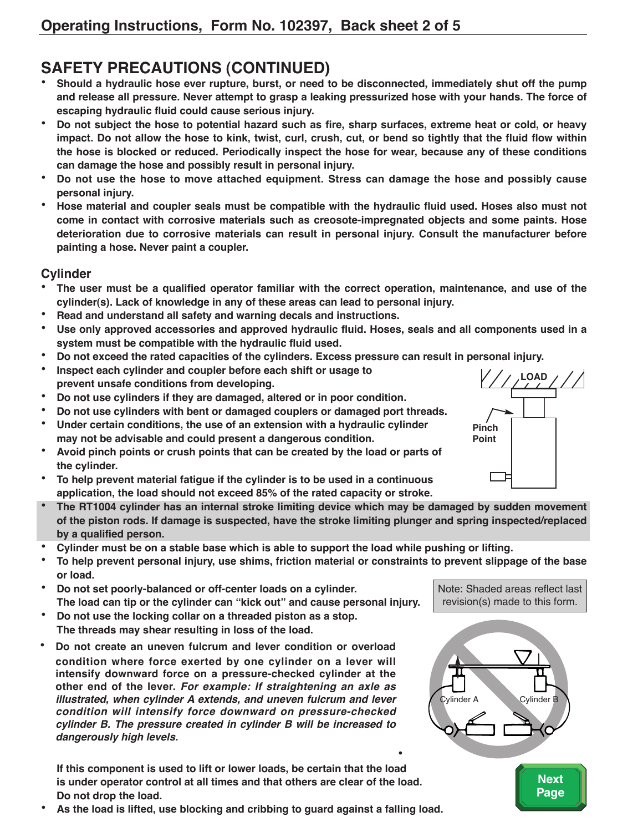- **SAFETY PRECAUTIONS (CONTINUED)**<br>• Should a hydraulic hose ever rupture, burst, or need to be disconnected, immediately shut off the pump and release all pressure. Never attempt to grasp a leaking pressurized hose with your hands. The force of **escaping hydraulic fluid could cause serious injury.**
- Do not subject the hose to potential hazard such as fire, sharp surfaces, extreme heat or cold, or heavy impact. Do not allow the hose to kink, twist, curl, crush, cut, or bend so tightly that the fluid flow within **the hose is blocked or reduced. Periodically inspect the hose for wear, because any of these conditions can damage the hose and possibly result in personal injury.**
- **• Do not use the hose to move attached equipment. Stress can damage the hose and possibly cause personal injury.**
- Hose material and coupler seals must be compatible with the hydraulic fluid used. Hoses also must not **come in contact with corrosive materials such as creosote-impregnated objects and some paints. Hose deterioration due to corrosive materials can result in personal injury. Consult the manufacturer before painting a hose. Never paint a coupler.**

#### **Cylinder**

- The user must be a qualified operator familiar with the correct operation, maintenance, and use of the **cylinder(s). Lack of knowledge in any of these areas can lead to personal injury.**
- **• Read and understand all safety and warning decals and instructions.**
- **• Use only approved accessories and approved hydraulic fluid. Hoses, seals and all components used in a system must be compatible with the hydraulic fluid used.**
- **• Do not exceed the rated capacities of the cylinders. Excess pressure can result in personal injury.**
- **• Inspect each cylinder and coupler before each shift or usage to prevent unsafe conditions from developing.**
- **• Do not use cylinders if they are damaged, altered or in poor condition.**
- **• Do not use cylinders with bent or damaged couplers or damaged port threads.**
- **• Under certain conditions, the use of an extension with a hydraulic cylinder may not be advisable and could present a dangerous condition.**
- **• Avoid pinch points or crush points that can be created by the load or parts of the cylinder.**
- **• To help prevent material fatigue if the cylinder is to be used in a continuous application, the load should not exceed 85% of the rated capacity or stroke.**
- **• The RT1004 cylinder has an internal stroke limiting device which may be damaged by sudden movement of the piston rods. If damage is suspected, have the stroke limiting plunger and spring inspected/replaced by a qualified person.**
- Cylinder must be on a stable base which is able to support the load while pushing or lifting.
- To help prevent personal injury, use shims, friction material or constraints to prevent slippage of the base **or load.**
- **• Do not set poorly-balanced or off-center loads on a cylinder. The load can tip or the cylinder can "kick out" and cause personal injury.**
- **• Do not use the locking collar on a threaded piston as a stop. The threads may shear resulting in loss of the load.**
- **• Do not create an uneven fulcrum and lever condition or overload condition where force exerted by one cylinder on a lever will intensify downward force on a pressure-checked cylinder at the other end of the lever. For example: If straightening an axle as illustrated, when cylinder A extends, and uneven fulcrum and lever condition will intensify force downward on pressure-checked cylinder B. The pressure created in cylinder B will be increased to dangerously high levels.**

**• If this component is used to lift or lower loads, be certain that the load is under operator control at all times and that others are clear of the load. Do not drop the load.**

**• As the load is lifted, use blocking and cribbing to guard against a falling load.**





Note: Shaded areas reflect last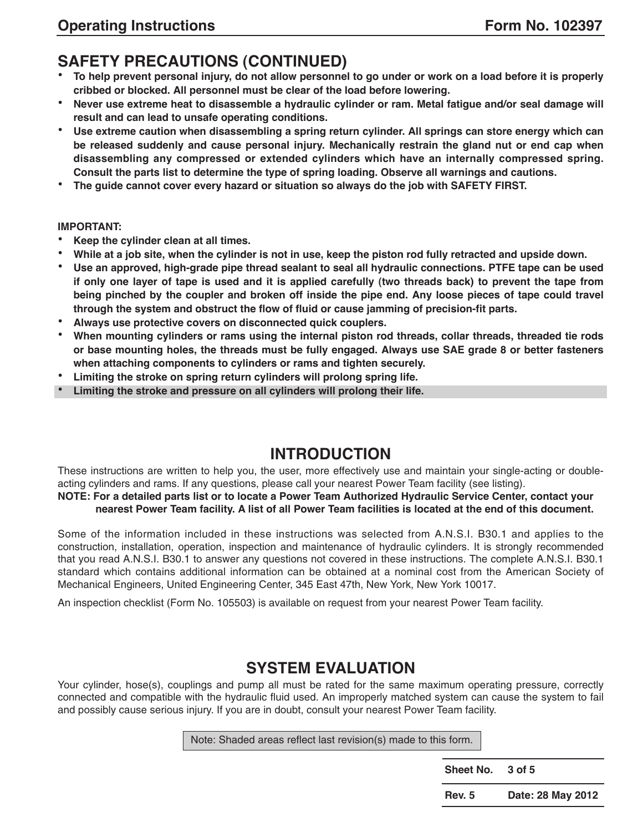- **SAFETY PRECAUTIONS (CONTINUED)**<br>• To help prevent personal injury, do not allow personnel to go under or work on a load before it is properly **cribbed or blocked. All personnel must be clear of the load before lowering.**
- Never use extreme heat to disassemble a hydraulic cylinder or ram. Metal fatigue and/or seal damage will **result and can lead to unsafe operating conditions.**
- **• Use extreme caution when disassembling a spring return cylinder. All springs can store energy which can be released suddenly and cause personal injury. Mechanically restrain the gland nut or end cap when disassembling any compressed or extended cylinders which have an internally compressed spring. Consult the parts list to determine the type of spring loading. Observe all warnings and cautions.**
- **• The guide cannot cover every hazard or situation so always do the job with SAFETY FIRST.**

#### **IMPORTANT:**

- **• Keep the cylinder clean at all times.**
- While at a job site, when the cylinder is not in use, keep the piston rod fully retracted and upside down.
- Use an approved, high-grade pipe thread sealant to seal all hydraulic connections. PTFE tape can be used if only one layer of tape is used and it is applied carefully (two threads back) to prevent the tape from being pinched by the coupler and broken off inside the pipe end. Any loose pieces of tape could travel **through the system and obstruct the flow of fluid or cause jamming of precision-fit parts.**
- **• Always use protective covers on disconnected quick couplers.**
- When mounting cylinders or rams using the internal piston rod threads, collar threads, threaded tie rods or base mounting holes, the threads must be fully engaged. Always use SAE grade 8 or better fasteners **when attaching components to cylinders or rams and tighten securely.**
- **• Limiting the stroke on spring return cylinders will prolong spring life.**
- **• Limiting the stroke and pressure on all cylinders will prolong their life.**

# **INTRODUCTION**

These instructions are written to help you, the user, more effectively use and maintain your single-acting or doubleacting cylinders and rams. If any questions, please call your nearest Power Team facility (see listing).

#### NOTE: For a detailed parts list or to locate a Power Team Authorized Hydraulic Service Center, contact your nearest Power Team facility. A list of all Power Team facilities is located at the end of this document.

Some of the information included in these instructions was selected from A.N.S.I. B30.1 and applies to the construction, installation, operation, inspection and maintenance of hydraulic cylinders. It is strongly recommended that you read A.N.S.I. B30.1 to answer any questions not covered in these instructions. The complete A.N.S.I. B30.1 standard which contains additional information can be obtained at a nominal cost from the American Society of Mechanical Engineers, United Engineering Center, 345 East 47th, New York, New York 10017.

An inspection checklist (Form No. 105503) is available on request from your nearest Power Team facility.

# **SYSTEM EVALUATION**

Your cylinder, hose(s), couplings and pump all must be rated for the same maximum operating pressure, correctly connected and compatible with the hydraulic fluid used. An improperly matched system can cause the system to fail and possibly cause serious injury. If you are in doubt, consult your nearest Power Team facility.

Note: Shaded areas reflect last revision(s) made to this form.

| Sheet No.     | 3 of 5            |
|---------------|-------------------|
| <b>Rev. 5</b> | Date: 28 May 2012 |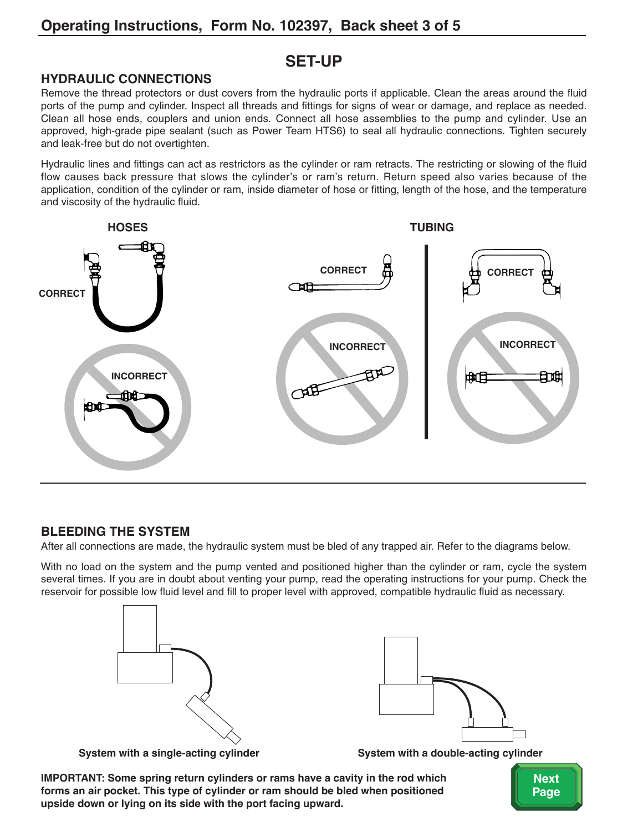# **SET-UP**

#### **HYDRAULIC CONNECTIONS**

Remove the thread protectors or dust covers from the hydraulic ports if applicable. Clean the areas around the fluid ports of the pump and cylinder. Inspect all threads and fittings for signs of wear or damage, and replace as needed. Clean all hose ends, couplers and union ends. Connect all hose assemblies to the pump and cylinder. Use an approved, high-grade pipe sealant (such as Power Team HTS6) to seal all hydraulic connections. Tighten securely and leak-free but do not overtighten.

Hydraulic lines and fittings can act as restrictors as the cylinder or ram retracts. The restricting or slowing of the fluid flow causes back pressure that slows the cylinder's or ram's return. Return speed also varies because of the application, condition of the cylinder or ram, inside diameter of hose or fitting, length of the hose, and the temperature and viscosity of the hydraulic fluid.



#### **BLEEDING THE SYSTEM**

After all connections are made, the hydraulic system must be bled of any trapped air. Refer to the diagrams below.

With no load on the system and the pump vented and positioned higher than the cylinder or ram, cycle the system several times. If you are in doubt about venting your pump, read the operating instructions for your pump. Check the reservoir for possible low fluid level and fill to proper level with approved, compatible hydraulic fluid as necessary.





**System with a single-acting cylinder System with a double-acting cylinder**

**IMPORTANT: Some spring return cylinders or rams have a cavity in the rod which forms an air pocket. This type of cylinder or ram should be bled when positioned upside down or lying on its side with the port facing upward.**

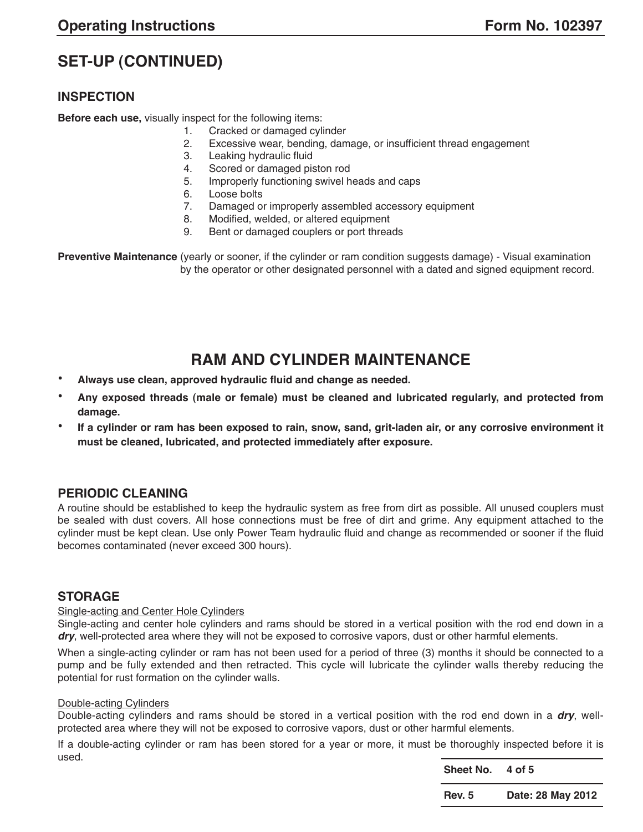# **SET-UP (CONTINUED)**

#### **INSPECTION**

**Before each use,** visually inspect for the following items:

- 1. Cracked or damaged cylinder
- 2. Excessive wear, bending, damage, or insufficient thread engagement
- 3. Leaking hydraulic fluid
- 4. Scored or damaged piston rod
- 5. Improperly functioning swivel heads and caps
- 6. Loose bolts
- 7. Damaged or improperly assembled accessory equipment
- 8. Modified, welded, or altered equipment
- 9. Bent or damaged couplers or port threads

**Preventive Maintenance** (yearly or sooner, if the cylinder or ram condition suggests damage) - Visual examination by the operator or other designated personnel with a dated and signed equipment record.

# **RAM AND CYLINDER MAINTENANCE**

- **• Always use clean, approved hydraulic fluid and change as needed.**
- **• Any exposed threads (male or female) must be cleaned and lubricated regularly, and protected from damage.**
- If a cylinder or ram has been exposed to rain, snow, sand, grit-laden air, or any corrosive environment it **must be cleaned, lubricated, and protected immediately after exposure.**

#### **PERIODIC CLEANING**

A routine should be established to keep the hydraulic system as free from dirt as possible. All unused couplers must be sealed with dust covers. All hose connections must be free of dirt and grime. Any equipment attached to the cylinder must be kept clean. Use only Power Team hydraulic fluid and change as recommended or sooner if the fluid becomes contaminated (never exceed 300 hours).

#### **STORAGE**

#### Single-acting and Center Hole Cylinders

Single-acting and center hole cylinders and rams should be stored in a vertical position with the rod end down in a **dry**, well-protected area where they will not be exposed to corrosive vapors, dust or other harmful elements.

When a single-acting cylinder or ram has not been used for a period of three (3) months it should be connected to a pump and be fully extended and then retracted. This cycle will lubricate the cylinder walls thereby reducing the potential for rust formation on the cylinder walls.

#### Double-acting Cylinders

Double-acting cylinders and rams should be stored in a vertical position with the rod end down in a **dry**, wellprotected area where they will not be exposed to corrosive vapors, dust or other harmful elements.

If a double-acting cylinder or ram has been stored for a year or more, it must be thoroughly inspected before it is used.

| Sheet No.     | 4 of 5            |
|---------------|-------------------|
| <b>Rev. 5</b> | Date: 28 May 2012 |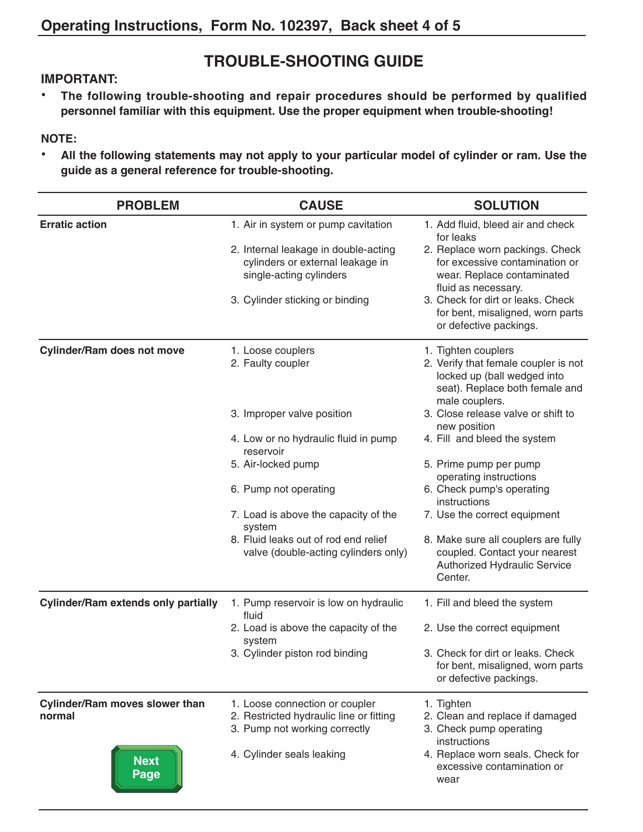# **TROUBLE-SHOOTING GUIDE**

#### **IMPORTANT:**

**• The following trouble-shooting and repair procedures should be performed by qualified personnel familiar with this equipment. Use the proper equipment when trouble-shooting!**

#### **NOTE:**

**• All the following statements may not apply to your particular model of cylinder or ram. Use the guide as a general reference for trouble-shooting.**

| <b>PROBLEM</b>                                                         | <b>CAUSE</b>                                                                                                                                                                                                                                                                                               | <b>SOLUTION</b>                                                                                                                                                                                                                                                                                                                                                                                                                                                                          |
|------------------------------------------------------------------------|------------------------------------------------------------------------------------------------------------------------------------------------------------------------------------------------------------------------------------------------------------------------------------------------------------|------------------------------------------------------------------------------------------------------------------------------------------------------------------------------------------------------------------------------------------------------------------------------------------------------------------------------------------------------------------------------------------------------------------------------------------------------------------------------------------|
| <b>Erratic action</b>                                                  | 1. Air in system or pump cavitation<br>2. Internal leakage in double-acting<br>cylinders or external leakage in<br>single-acting cylinders<br>3. Cylinder sticking or binding                                                                                                                              | 1. Add fluid, bleed air and check<br>for leaks<br>2. Replace worn packings. Check<br>for excessive contamination or<br>wear. Replace contaminated<br>fluid as necessary.<br>3. Check for dirt or leaks. Check<br>for bent, misaligned, worn parts<br>or defective packings.                                                                                                                                                                                                              |
| <b>Cylinder/Ram does not move</b>                                      | 1. Loose couplers<br>2. Faulty coupler<br>3. Improper valve position<br>4. Low or no hydraulic fluid in pump<br>reservoir<br>5. Air-locked pump<br>6. Pump not operating<br>7. Load is above the capacity of the<br>system<br>8. Fluid leaks out of rod end relief<br>valve (double-acting cylinders only) | 1. Tighten couplers<br>2. Verify that female coupler is not<br>locked up (ball wedged into<br>seat). Replace both female and<br>male couplers.<br>3. Close release valve or shift to<br>new position<br>4. Fill and bleed the system<br>5. Prime pump per pump<br>operating instructions<br>6. Check pump's operating<br>instructions<br>7. Use the correct equipment<br>8. Make sure all couplers are fully<br>coupled. Contact your nearest<br>Authorized Hydraulic Service<br>Center. |
| <b>Cylinder/Ram extends only partially</b>                             | 1. Pump reservoir is low on hydraulic<br>fluid<br>2. Load is above the capacity of the<br>system<br>3. Cylinder piston rod binding                                                                                                                                                                         | 1. Fill and bleed the system<br>2. Use the correct equipment<br>3. Check for dirt or leaks. Check<br>for bent, misaligned, worn parts<br>or defective packings.                                                                                                                                                                                                                                                                                                                          |
| <b>Cylinder/Ram moves slower than</b><br>normal<br><b>Next</b><br>Page | 1. Loose connection or coupler<br>2. Restricted hydraulic line or fitting<br>3. Pump not working correctly<br>4. Cylinder seals leaking                                                                                                                                                                    | 1. Tighten<br>2. Clean and replace if damaged<br>3. Check pump operating<br>instructions<br>4. Replace worn seals. Check for<br>excessive contamination or<br>wear                                                                                                                                                                                                                                                                                                                       |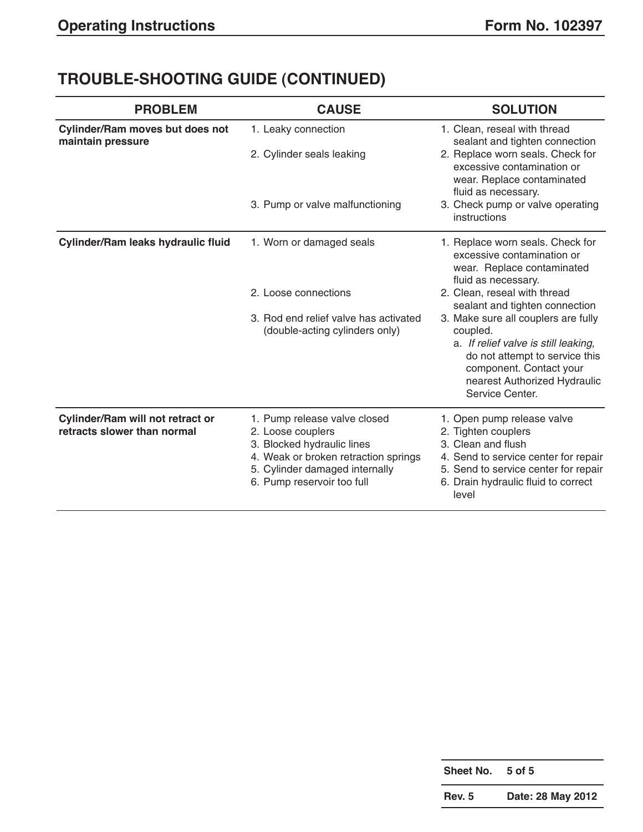# **TROUBLE-SHOOTING GUIDE (CONTINUED)**

| <b>PROBLEM</b>                                                         | <b>CAUSE</b>                                                                                                                                                                            | <b>SOLUTION</b>                                                                                                                                                                                                                                                                                                                                                                                  |
|------------------------------------------------------------------------|-----------------------------------------------------------------------------------------------------------------------------------------------------------------------------------------|--------------------------------------------------------------------------------------------------------------------------------------------------------------------------------------------------------------------------------------------------------------------------------------------------------------------------------------------------------------------------------------------------|
| <b>Cylinder/Ram moves but does not</b><br>maintain pressure            | 1. Leaky connection<br>2. Cylinder seals leaking<br>3. Pump or valve malfunctioning                                                                                                     | 1. Clean, reseal with thread<br>sealant and tighten connection<br>2. Replace worn seals. Check for<br>excessive contamination or<br>wear. Replace contaminated<br>fluid as necessary.<br>3. Check pump or valve operating<br>instructions                                                                                                                                                        |
| Cylinder/Ram leaks hydraulic fluid                                     | 1. Worn or damaged seals<br>2. Loose connections<br>3. Rod end relief valve has activated<br>(double-acting cylinders only)                                                             | 1. Replace worn seals. Check for<br>excessive contamination or<br>wear. Replace contaminated<br>fluid as necessary.<br>2. Clean, reseal with thread<br>sealant and tighten connection<br>3. Make sure all couplers are fully<br>coupled.<br>a. If relief valve is still leaking,<br>do not attempt to service this<br>component. Contact your<br>nearest Authorized Hydraulic<br>Service Center. |
| <b>Cylinder/Ram will not retract or</b><br>retracts slower than normal | 1. Pump release valve closed<br>2. Loose couplers<br>3. Blocked hydraulic lines<br>4. Weak or broken retraction springs<br>5. Cylinder damaged internally<br>6. Pump reservoir too full | 1. Open pump release valve<br>2. Tighten couplers<br>3. Clean and flush<br>4. Send to service center for repair<br>5. Send to service center for repair<br>6. Drain hydraulic fluid to correct<br>level                                                                                                                                                                                          |

| Sheet No.     | 5 of 5            |
|---------------|-------------------|
| <b>Rev. 5</b> | Date: 28 May 2012 |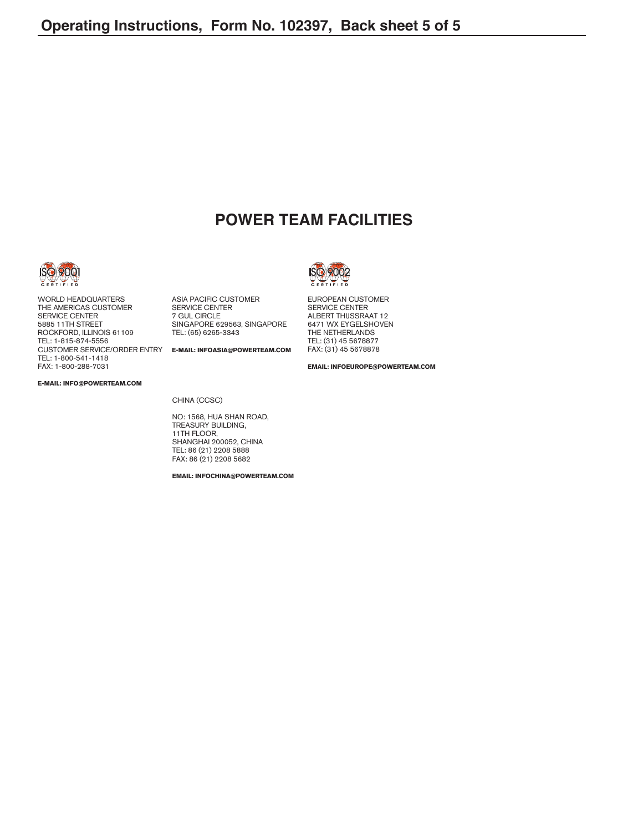## **POWER TEAM FACILITIES**



WORLD HEADQUARTERS THE AMERICAS CUSTOMER SERVICE CENTER 5885 11TH STREET ROCKFORD, ILLINOIS 61109 TEL: 1-815-874-5556 CUSTOMER SERVICE/ORDER ENTRY **E-MAIL: INFOASIA@POWERTEAM.COM** TEL: 1-800-541-1418 FAX: 1-800-288-7031

ASIA PACIFIC CUSTOMER SERVICE CENTER 7 GUL CIRCLE SINGAPORE 629563, SINGAPORE TEL: (65) 6265-3343

**E-MAIL: INFO@POWERTEAM.COM**

EUROPEAN CUSTOMER SERVICE CENTER ALBERT THIJSSRAAT 12 6471 WX EYGELSHOVEN THE NETHERLANDS TEL: (31) 45 5678877 FAX: (31) 45 5678878

**EMAIL: INFOEUROPE@POWERTEAM.COM**

CHINA (CCSC)

NO: 1568, HUA SHAN ROAD, TREASURY BUILDING, 11TH FLOOR, SHANGHAI 200052, CHINA TEL: 86 (21) 2208 5888 FAX: 86 (21) 2208 5682

**EMAIL: INFOCHINA@POWERTEAM.COM**